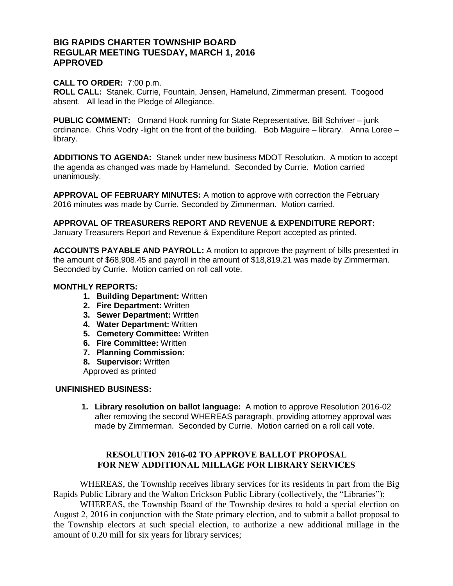# **BIG RAPIDS CHARTER TOWNSHIP BOARD REGULAR MEETING TUESDAY, MARCH 1, 2016 APPROVED**

### **CALL TO ORDER:** 7:00 p.m.

**ROLL CALL:** Stanek, Currie, Fountain, Jensen, Hamelund, Zimmerman present. Toogood absent. All lead in the Pledge of Allegiance.

**PUBLIC COMMENT:** Ormand Hook running for State Representative. Bill Schriver – junk ordinance. Chris Vodry -light on the front of the building. Bob Maguire – library. Anna Loree – library.

**ADDITIONS TO AGENDA:** Stanek under new business MDOT Resolution. A motion to accept the agenda as changed was made by Hamelund. Seconded by Currie. Motion carried unanimously.

**APPROVAL OF FEBRUARY MINUTES:** A motion to approve with correction the February 2016 minutes was made by Currie. Seconded by Zimmerman. Motion carried.

**APPROVAL OF TREASURERS REPORT AND REVENUE & EXPENDITURE REPORT:**  January Treasurers Report and Revenue & Expenditure Report accepted as printed.

**ACCOUNTS PAYABLE AND PAYROLL:** A motion to approve the payment of bills presented in the amount of \$68,908.45 and payroll in the amount of \$18,819.21 was made by Zimmerman. Seconded by Currie. Motion carried on roll call vote.

### **MONTHLY REPORTS:**

- **1. Building Department:** Written
- **2. Fire Department:** Written
- **3. Sewer Department:** Written
- **4. Water Department:** Written
- **5. Cemetery Committee:** Written
- **6. Fire Committee:** Written
- **7. Planning Commission:**
- **8. Supervisor:** Written

Approved as printed

#### **UNFINISHED BUSINESS:**

**1. Library resolution on ballot language:** A motion to approve Resolution 2016-02 after removing the second WHEREAS paragraph, providing attorney approval was made by Zimmerman. Seconded by Currie. Motion carried on a roll call vote.

## **RESOLUTION 2016-02 TO APPROVE BALLOT PROPOSAL FOR NEW ADDITIONAL MILLAGE FOR LIBRARY SERVICES**

WHEREAS, the Township receives library services for its residents in part from the Big Rapids Public Library and the Walton Erickson Public Library (collectively, the "Libraries");

WHEREAS, the Township Board of the Township desires to hold a special election on August 2, 2016 in conjunction with the State primary election, and to submit a ballot proposal to the Township electors at such special election, to authorize a new additional millage in the amount of 0.20 mill for six years for library services;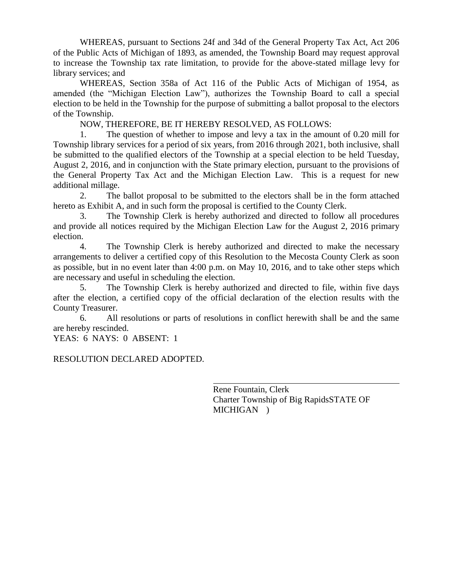WHEREAS, pursuant to Sections 24f and 34d of the General Property Tax Act, Act 206 of the Public Acts of Michigan of 1893, as amended, the Township Board may request approval to increase the Township tax rate limitation, to provide for the above-stated millage levy for library services; and

WHEREAS, Section 358a of Act 116 of the Public Acts of Michigan of 1954, as amended (the "Michigan Election Law"), authorizes the Township Board to call a special election to be held in the Township for the purpose of submitting a ballot proposal to the electors of the Township.

NOW, THEREFORE, BE IT HEREBY RESOLVED, AS FOLLOWS:

1. The question of whether to impose and levy a tax in the amount of 0.20 mill for Township library services for a period of six years, from 2016 through 2021, both inclusive, shall be submitted to the qualified electors of the Township at a special election to be held Tuesday, August 2, 2016, and in conjunction with the State primary election, pursuant to the provisions of the General Property Tax Act and the Michigan Election Law. This is a request for new additional millage.

2. The ballot proposal to be submitted to the electors shall be in the form attached hereto as Exhibit A, and in such form the proposal is certified to the County Clerk.

3. The Township Clerk is hereby authorized and directed to follow all procedures and provide all notices required by the Michigan Election Law for the August 2, 2016 primary election.

4. The Township Clerk is hereby authorized and directed to make the necessary arrangements to deliver a certified copy of this Resolution to the Mecosta County Clerk as soon as possible, but in no event later than 4:00 p.m. on May 10, 2016, and to take other steps which are necessary and useful in scheduling the election.

5. The Township Clerk is hereby authorized and directed to file, within five days after the election, a certified copy of the official declaration of the election results with the County Treasurer.

6. All resolutions or parts of resolutions in conflict herewith shall be and the same are hereby rescinded.

YEAS: 6 NAYS: 0 ABSENT: 1

## RESOLUTION DECLARED ADOPTED.

Rene Fountain, Clerk Charter Township of Big RapidsSTATE OF MICHIGAN )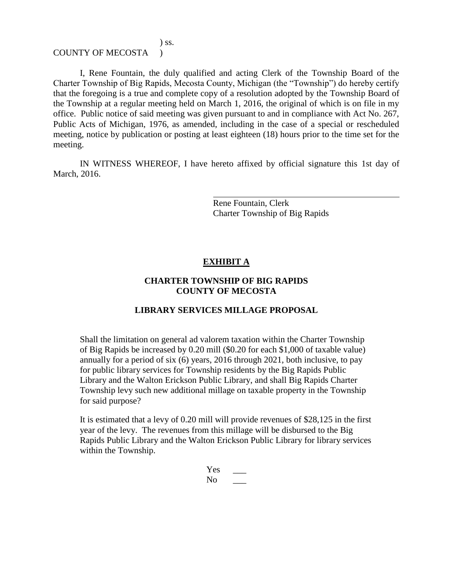### COUNTY OF MECOSTA )

) ss.

I, Rene Fountain, the duly qualified and acting Clerk of the Township Board of the Charter Township of Big Rapids, Mecosta County, Michigan (the "Township") do hereby certify that the foregoing is a true and complete copy of a resolution adopted by the Township Board of the Township at a regular meeting held on March 1, 2016, the original of which is on file in my office. Public notice of said meeting was given pursuant to and in compliance with Act No. 267, Public Acts of Michigan, 1976, as amended, including in the case of a special or rescheduled meeting, notice by publication or posting at least eighteen (18) hours prior to the time set for the meeting.

IN WITNESS WHEREOF, I have hereto affixed by official signature this 1st day of March, 2016.

> Rene Fountain, Clerk Charter Township of Big Rapids

## **EXHIBIT A**

#### **CHARTER TOWNSHIP OF BIG RAPIDS COUNTY OF MECOSTA**

#### **LIBRARY SERVICES MILLAGE PROPOSAL**

Shall the limitation on general ad valorem taxation within the Charter Township of Big Rapids be increased by 0.20 mill (\$0.20 for each \$1,000 of taxable value) annually for a period of six (6) years, 2016 through 2021, both inclusive, to pay for public library services for Township residents by the Big Rapids Public Library and the Walton Erickson Public Library, and shall Big Rapids Charter Township levy such new additional millage on taxable property in the Township for said purpose?

It is estimated that a levy of 0.20 mill will provide revenues of \$28,125 in the first year of the levy. The revenues from this millage will be disbursed to the Big Rapids Public Library and the Walton Erickson Public Library for library services within the Township.

> Yes  $\overline{ }$  $\overline{\text{No}}$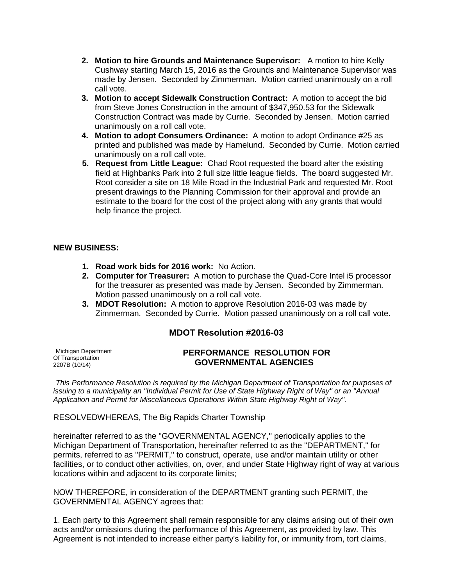- **2. Motion to hire Grounds and Maintenance Supervisor:** A motion to hire Kelly Cushway starting March 15, 2016 as the Grounds and Maintenance Supervisor was made by Jensen. Seconded by Zimmerman. Motion carried unanimously on a roll call vote.
- **3. Motion to accept Sidewalk Construction Contract:** A motion to accept the bid from Steve Jones Construction in the amount of \$347,950.53 for the Sidewalk Construction Contract was made by Currie. Seconded by Jensen. Motion carried unanimously on a roll call vote.
- **4. Motion to adopt Consumers Ordinance:** A motion to adopt Ordinance #25 as printed and published was made by Hamelund. Seconded by Currie. Motion carried unanimously on a roll call vote.
- **5. Request from Little League:** Chad Root requested the board alter the existing field at Highbanks Park into 2 full size little league fields. The board suggested Mr. Root consider a site on 18 Mile Road in the Industrial Park and requested Mr. Root present drawings to the Planning Commission for their approval and provide an estimate to the board for the cost of the project along with any grants that would help finance the project.

#### **NEW BUSINESS:**

- **1. Road work bids for 2016 work:** No Action.
- **2. Computer for Treasurer:** A motion to purchase the Quad-Core Intel i5 processor for the treasurer as presented was made by Jensen. Seconded by Zimmerman. Motion passed unanimously on a roll call vote.
- **3. MDOT Resolution:** A motion to approve Resolution 2016-03 was made by Zimmerman. Seconded by Currie. Motion passed unanimously on a roll call vote.

# **MDOT Resolution #2016-03**

Michigan Department Of Transportation 2207B (10/14)

#### **PERFORMANCE RESOLUTION FOR GOVERNMENTAL AGENCIES**

*This Performance Resolution is required by the Michigan Department of Transportation for purposes of issuing to a municipality an ''Individual Permit for Use of State Highway Right of Way'' or an ''Annual Application and Permit for Miscellaneous Operations Within State Highway Right of Way''.* 

RESOLVEDWHEREAS, The Big Rapids Charter Township

hereinafter referred to as the ''GOVERNMENTAL AGENCY,'' periodically applies to the Michigan Department of Transportation, hereinafter referred to as the "DEPARTMENT," for permits, referred to as ''PERMIT,'' to construct, operate, use and/or maintain utility or other facilities, or to conduct other activities, on, over, and under State Highway right of way at various locations within and adjacent to its corporate limits;

NOW THEREFORE, in consideration of the DEPARTMENT granting such PERMIT, the GOVERNMENTAL AGENCY agrees that:

1. Each party to this Agreement shall remain responsible for any claims arising out of their own acts and/or omissions during the performance of this Agreement, as provided by law. This Agreement is not intended to increase either party's liability for, or immunity from, tort claims,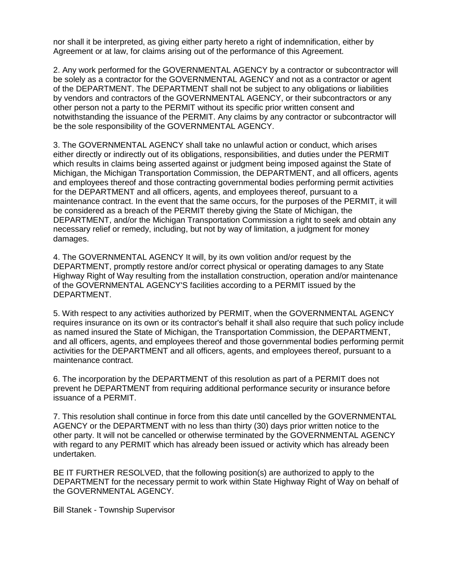nor shall it be interpreted, as giving either party hereto a right of indemnification, either by Agreement or at law, for claims arising out of the performance of this Agreement.

2. Any work performed for the GOVERNMENTAL AGENCY by a contractor or subcontractor will be solely as a contractor for the GOVERNMENTAL AGENCY and not as a contractor or agent of the DEPARTMENT. The DEPARTMENT shall not be subject to any obligations or liabilities by vendors and contractors of the GOVERNMENTAL AGENCY, or their subcontractors or any other person not a party to the PERMIT without its specific prior written consent and notwithstanding the issuance of the PERMIT. Any claims by any contractor or subcontractor will be the sole responsibility of the GOVERNMENTAL AGENCY.

3. The GOVERNMENTAL AGENCY shall take no unlawful action or conduct, which arises either directly or indirectly out of its obligations, responsibilities, and duties under the PERMIT which results in claims being asserted against or judgment being imposed against the State of Michigan, the Michigan Transportation Commission, the DEPARTMENT, and all officers, agents and employees thereof and those contracting governmental bodies performing permit activities for the DEPARTMENT and all officers, agents, and employees thereof, pursuant to a maintenance contract. In the event that the same occurs, for the purposes of the PERMIT, it will be considered as a breach of the PERMIT thereby giving the State of Michigan, the DEPARTMENT, and/or the Michigan Transportation Commission a right to seek and obtain any necessary relief or remedy, including, but not by way of limitation, a judgment for money damages.

4. The GOVERNMENTAL AGENCY It will, by its own volition and/or request by the DEPARTMENT, promptly restore and/or correct physical or operating damages to any State Highway Right of Way resulting from the installation construction, operation and/or maintenance of the GOVERNMENTAL AGENCY'S facilities according to a PERMIT issued by the DEPARTMENT.

5. With respect to any activities authorized by PERMIT, when the GOVERNMENTAL AGENCY requires insurance on its own or its contractor's behalf it shall also require that such policy include as named insured the State of Michigan, the Transportation Commission, the DEPARTMENT, and all officers, agents, and employees thereof and those governmental bodies performing permit activities for the DEPARTMENT and all officers, agents, and employees thereof, pursuant to a maintenance contract.

6. The incorporation by the DEPARTMENT of this resolution as part of a PERMIT does not prevent he DEPARTMENT from requiring additional performance security or insurance before issuance of a PERMIT.

7. This resolution shall continue in force from this date until cancelled by the GOVERNMENTAL AGENCY or the DEPARTMENT with no less than thirty (30) days prior written notice to the other party. It will not be cancelled or otherwise terminated by the GOVERNMENTAL AGENCY with regard to any PERMIT which has already been issued or activity which has already been undertaken.

BE IT FURTHER RESOLVED, that the following position(s) are authorized to apply to the DEPARTMENT for the necessary permit to work within State Highway Right of Way on behalf of the GOVERNMENTAL AGENCY.

Bill Stanek - Township Supervisor